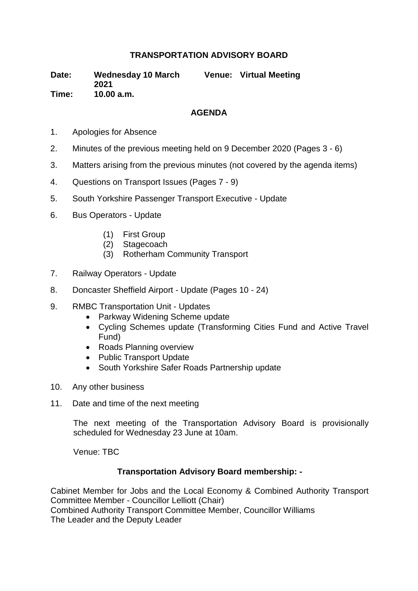## **TRANSPORTATION ADVISORY BOARD**

**Date: Wednesday 10 March 2021 Venue: Virtual Meeting Time: 10.00 a.m.**

## **AGENDA**

- 1. Apologies for Absence
- 2. Minutes of the previous meeting held on 9 December 2020 (Pages 3 6)
- 3. Matters arising from the previous minutes (not covered by the agenda items)
- 4. Questions on Transport Issues (Pages 7 9)
- 5. South Yorkshire Passenger Transport Executive Update
- 6. Bus Operators Update
	- (1) First Group
	- (2) Stagecoach
	- (3) Rotherham Community Transport
- 7. Railway Operators Update
- 8. Doncaster Sheffield Airport Update (Pages 10 24)
- 9. RMBC Transportation Unit Updates
	- Parkway Widening Scheme update
	- Cycling Schemes update (Transforming Cities Fund and Active Travel Fund)
	- Roads Planning overview
	- Public Transport Update
	- South Yorkshire Safer Roads Partnership update
- 10. Any other business
- 11. Date and time of the next meeting

The next meeting of the Transportation Advisory Board is provisionally scheduled for Wednesday 23 June at 10am.

Venue: TBC

## **Transportation Advisory Board membership: -**

Cabinet Member for Jobs and the Local Economy & Combined Authority Transport Committee Member - Councillor Lelliott (Chair) Combined Authority Transport Committee Member, Councillor Williams The Leader and the Deputy Leader